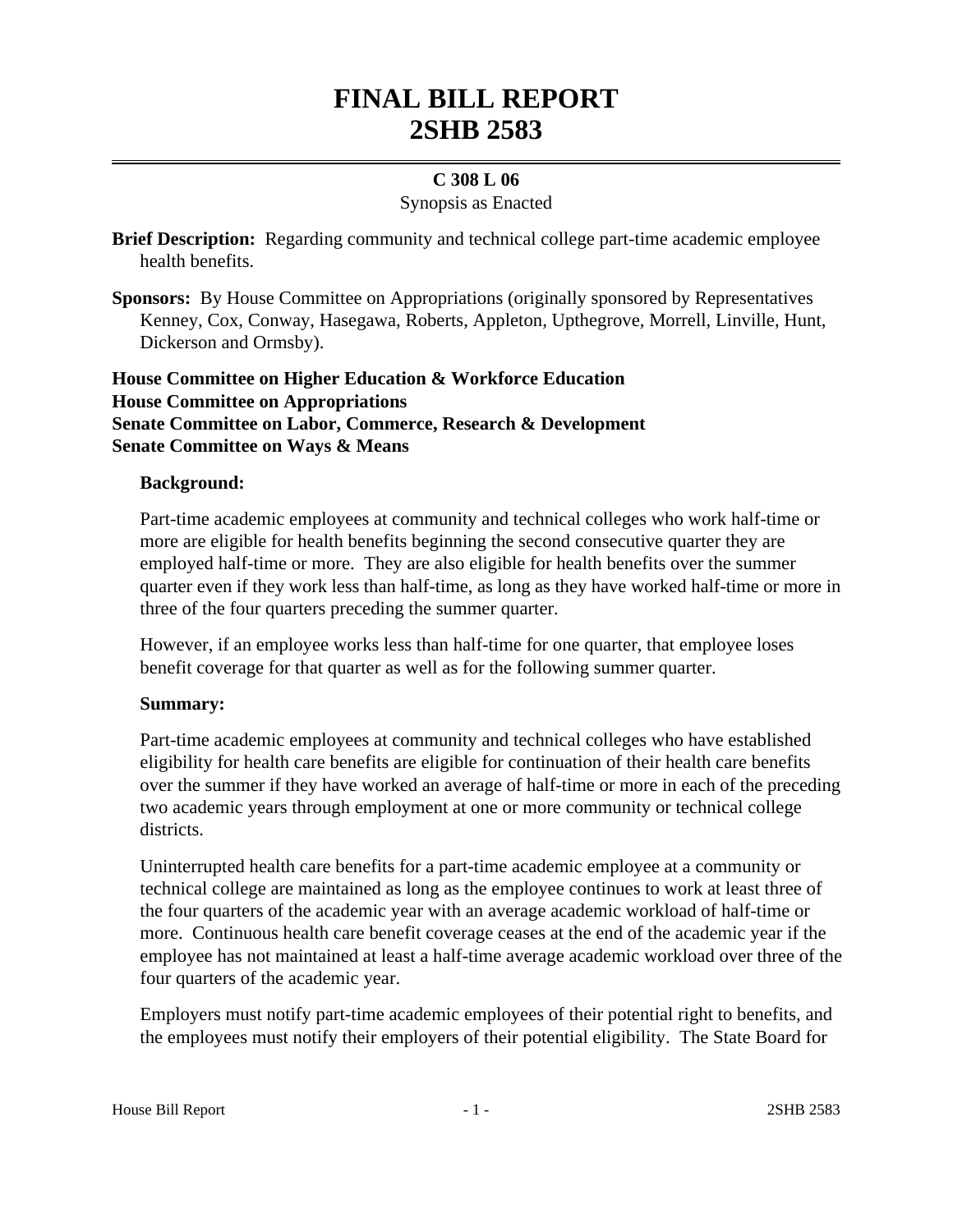# **FINAL BILL REPORT 2SHB 2583**

# **C 308 L 06**

# Synopsis as Enacted

**Brief Description:** Regarding community and technical college part-time academic employee health benefits.

**Sponsors:** By House Committee on Appropriations (originally sponsored by Representatives Kenney, Cox, Conway, Hasegawa, Roberts, Appleton, Upthegrove, Morrell, Linville, Hunt, Dickerson and Ormsby).

# **House Committee on Higher Education & Workforce Education House Committee on Appropriations Senate Committee on Labor, Commerce, Research & Development Senate Committee on Ways & Means**

### **Background:**

Part-time academic employees at community and technical colleges who work half-time or more are eligible for health benefits beginning the second consecutive quarter they are employed half-time or more. They are also eligible for health benefits over the summer quarter even if they work less than half-time, as long as they have worked half-time or more in three of the four quarters preceding the summer quarter.

However, if an employee works less than half-time for one quarter, that employee loses benefit coverage for that quarter as well as for the following summer quarter.

#### **Summary:**

Part-time academic employees at community and technical colleges who have established eligibility for health care benefits are eligible for continuation of their health care benefits over the summer if they have worked an average of half-time or more in each of the preceding two academic years through employment at one or more community or technical college districts.

Uninterrupted health care benefits for a part-time academic employee at a community or technical college are maintained as long as the employee continues to work at least three of the four quarters of the academic year with an average academic workload of half-time or more. Continuous health care benefit coverage ceases at the end of the academic year if the employee has not maintained at least a half-time average academic workload over three of the four quarters of the academic year.

Employers must notify part-time academic employees of their potential right to benefits, and the employees must notify their employers of their potential eligibility. The State Board for